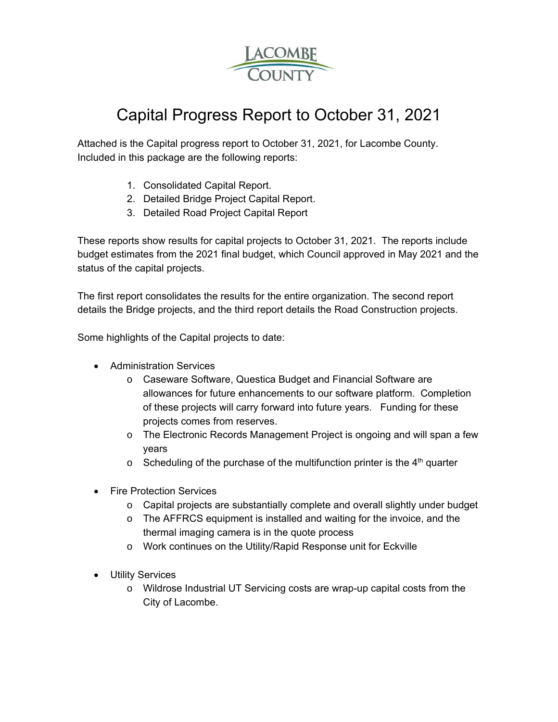

# Capital Progress Report to October 31, 2021

Attached is the Capital progress report to October 31, 2021, for Lacombe County. Included in this package are the following reports:

- 1. Consolidated Capital Report.
- 2. Detailed Bridge Project Capital Report.
- 3. Detailed Road Project Capital Report

These reports show results for capital projects to October 31, 2021. The reports include budget estimates from the 2021 final budget, which Council approved in May 2021 and the status of the capital projects.

The first report consolidates the results for the entire organization. The second report details the Bridge projects, and the third report details the Road Construction projects.

Some highlights of the Capital projects to date:

- Administration Services
	- o Caseware Software, Questica Budget and Financial Software are allowances for future enhancements to our software platform. Completion of these projects will carry forward into future years. Funding for these projects comes from reserves.
	- o The Electronic Records Management Project is ongoing and will span a few years
	- $\circ$  Scheduling of the purchase of the multifunction printer is the 4<sup>th</sup> quarter
- Fire Protection Services
	- o Capital projects are substantially complete and overall slightly under budget
	- o The AFFRCS equipment is installed and waiting for the invoice, and the thermal imaging camera is in the quote process
	- o Work continues on the Utility/Rapid Response unit for Eckville
- Utility Services
	- o Wildrose Industrial UT Servicing costs are wrap-up capital costs from the City of Lacombe.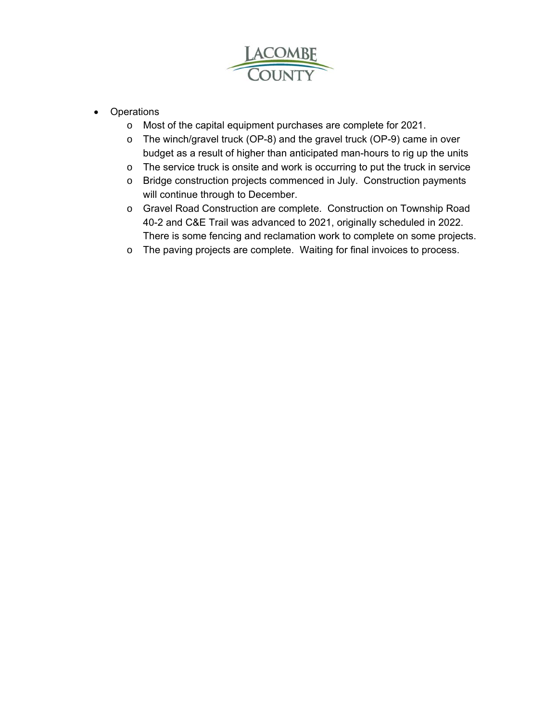

- Operations
	- o Most of the capital equipment purchases are complete for 2021.
	- o The winch/gravel truck (OP-8) and the gravel truck (OP-9) came in over budget as a result of higher than anticipated man-hours to rig up the units
	- o The service truck is onsite and work is occurring to put the truck in service
	- o Bridge construction projects commenced in July. Construction payments will continue through to December.
	- o Gravel Road Construction are complete. Construction on Township Road 40-2 and C&E Trail was advanced to 2021, originally scheduled in 2022. There is some fencing and reclamation work to complete on some projects.
	- o The paving projects are complete. Waiting for final invoices to process.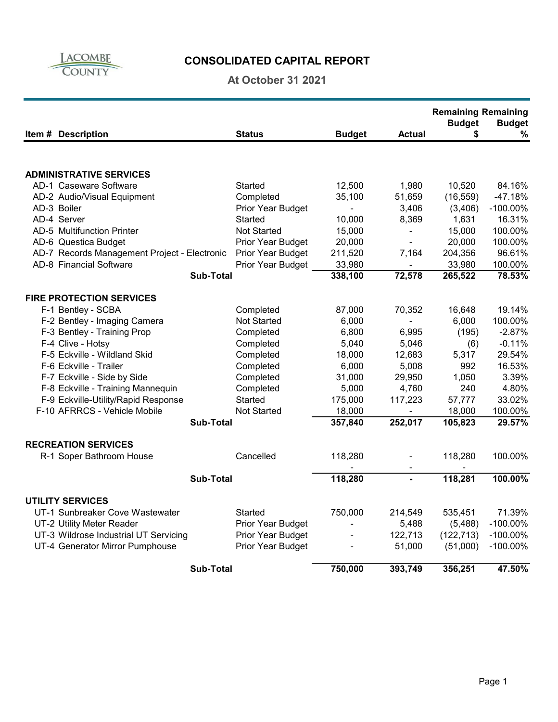

## **CONSOLIDATED CAPITAL REPORT**

### **At October 31 2021**

|                                              |                    |                                     |                | <b>Remaining Remaining</b><br><b>Budget</b> | <b>Budget</b> |
|----------------------------------------------|--------------------|-------------------------------------|----------------|---------------------------------------------|---------------|
| Item # Description                           | <b>Status</b>      | <b>Budget</b>                       | Actual         | \$                                          | $\%$          |
|                                              |                    |                                     |                |                                             |               |
| <b>ADMINISTRATIVE SERVICES</b>               |                    |                                     |                |                                             |               |
| AD-1 Caseware Software                       | Started            | 12,500                              | 1,980          | 10,520                                      | 84.16%        |
| AD-2 Audio/Visual Equipment                  | Completed          | 35,100                              | 51,659         | (16, 559)                                   | $-47.18%$     |
| AD-3 Boiler                                  | Prior Year Budget  | $\blacksquare$                      | 3,406          | (3,406)                                     | $-100.00\%$   |
| AD-4 Server                                  | Started            | 10,000                              | 8,369          | 1,631                                       | 16.31%        |
| AD-5 Multifunction Printer                   | <b>Not Started</b> | 15,000                              | $\blacksquare$ | 15,000                                      | 100.00%       |
| AD-6 Questica Budget                         | Prior Year Budget  | 20,000                              | $\blacksquare$ | 20,000                                      | 100.00%       |
| AD-7 Records Management Project - Electronic | Prior Year Budget  | 211,520                             | 7,164          | 204,356                                     | 96.61%        |
| AD-8 Financial Software                      | Prior Year Budget  | 33,980                              |                | 33,980                                      | 100.00%       |
| <b>Sub-Total</b>                             |                    | 338,100                             | 72,578         | 265,522                                     | 78.53%        |
| <b>FIRE PROTECTION SERVICES</b>              |                    |                                     |                |                                             |               |
| F-1 Bentley - SCBA                           | Completed          | 87,000                              | 70,352         | 16,648                                      | 19.14%        |
| F-2 Bentley - Imaging Camera                 | Not Started        | 6,000                               | $\mathbf{r}$   | 6,000                                       | 100.00%       |
| F-3 Bentley - Training Prop                  | Completed          | 6,800                               | 6,995          | (195)                                       | $-2.87%$      |
| F-4 Clive - Hotsy                            | Completed          | 5,040                               | 5,046          | (6)                                         | $-0.11%$      |
| F-5 Eckville - Wildland Skid                 | Completed          | 18,000                              | 12,683         | 5,317                                       | 29.54%        |
| F-6 Eckville - Trailer                       | Completed          | 6,000                               | 5,008          | 992                                         | 16.53%        |
| F-7 Eckville - Side by Side                  | Completed          | 31,000                              | 29,950         | 1,050                                       | 3.39%         |
| F-8 Eckville - Training Mannequin            | Completed          | 5,000                               | 4,760          | 240                                         | 4.80%         |
| F-9 Eckville-Utility/Rapid Response          | Started            | 175,000                             | 117,223        | 57,777                                      | 33.02%        |
| F-10 AFRRCS - Vehicle Mobile                 | <b>Not Started</b> | 18,000                              |                | 18,000                                      | 100.00%       |
| <b>Sub-Total</b>                             |                    | 357,840                             | 252,017        | 105,823                                     | 29.57%        |
|                                              |                    |                                     |                |                                             |               |
| <b>RECREATION SERVICES</b>                   |                    |                                     |                |                                             |               |
| R-1 Soper Bathroom House                     | Cancelled          | 118,280<br>$\overline{\phantom{a}}$ | $\blacksquare$ | 118,280                                     | 100.00%       |
| <b>Sub-Total</b>                             |                    | 118,280                             |                | 118,281                                     | 100.00%       |
| <b>UTILITY SERVICES</b>                      |                    |                                     |                |                                             |               |
| UT-1 Sunbreaker Cove Wastewater              | Started            | 750,000                             | 214,549        | 535,451                                     | 71.39%        |
| UT-2 Utility Meter Reader                    | Prior Year Budget  |                                     | 5,488          | (5,488)                                     | $-100.00\%$   |
| UT-3 Wildrose Industrial UT Servicing        | Prior Year Budget  |                                     | 122,713        | (122, 713)                                  | $-100.00\%$   |
| UT-4 Generator Mirror Pumphouse              | Prior Year Budget  |                                     | 51,000         | (51,000)                                    | $-100.00\%$   |
| Sub-Total                                    |                    | 750,000                             | 393,749        | 356,251                                     | 47.50%        |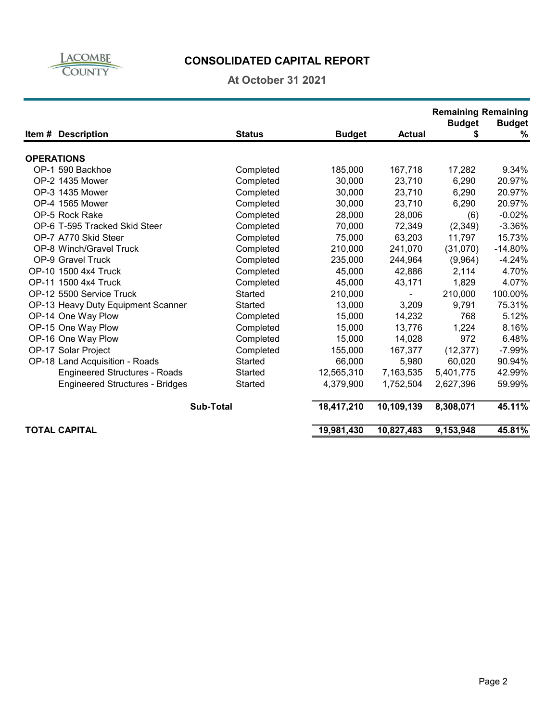

## **CONSOLIDATED CAPITAL REPORT**

#### **At October 31 2021**

|                                        |                  |               |                | <b>Remaining Remaining</b> |               |
|----------------------------------------|------------------|---------------|----------------|----------------------------|---------------|
|                                        |                  |               |                | <b>Budget</b>              | <b>Budget</b> |
| Item # Description                     | <b>Status</b>    | <b>Budget</b> | <b>Actual</b>  | \$                         | %             |
| <b>OPERATIONS</b>                      |                  |               |                |                            |               |
| OP-1 590 Backhoe                       | Completed        | 185,000       | 167,718        | 17,282                     | 9.34%         |
| OP-2 1435 Mower                        | Completed        | 30,000        | 23,710         | 6,290                      | 20.97%        |
| OP-3 1435 Mower                        | Completed        | 30,000        | 23,710         | 6,290                      | 20.97%        |
| OP-4 1565 Mower                        | Completed        | 30,000        | 23,710         | 6,290                      | 20.97%        |
| OP-5 Rock Rake                         | Completed        | 28,000        | 28,006         | (6)                        | $-0.02%$      |
| OP-6 T-595 Tracked Skid Steer          | Completed        | 70,000        | 72,349         | (2, 349)                   | $-3.36%$      |
| OP-7 A770 Skid Steer                   | Completed        | 75,000        | 63,203         | 11,797                     | 15.73%        |
| OP-8 Winch/Gravel Truck                | Completed        | 210,000       | 241,070        | (31,070)                   | $-14.80%$     |
| OP-9 Gravel Truck                      | Completed        | 235,000       | 244,964        | (9,964)                    | $-4.24%$      |
| OP-10 1500 4x4 Truck                   | Completed        | 45,000        | 42,886         | 2,114                      | 4.70%         |
| OP-11 1500 4x4 Truck                   | Completed        | 45,000        | 43,171         | 1,829                      | 4.07%         |
| OP-12 5500 Service Truck               | Started          | 210,000       | $\blacksquare$ | 210,000                    | 100.00%       |
| OP-13 Heavy Duty Equipment Scanner     | Started          | 13,000        | 3,209          | 9,791                      | 75.31%        |
| OP-14 One Way Plow                     | Completed        | 15,000        | 14,232         | 768                        | 5.12%         |
| OP-15 One Way Plow                     | Completed        | 15,000        | 13,776         | 1,224                      | 8.16%         |
| OP-16 One Way Plow                     | Completed        | 15,000        | 14,028         | 972                        | 6.48%         |
| OP-17 Solar Project                    | Completed        | 155,000       | 167,377        | (12, 377)                  | $-7.99%$      |
| OP-18 Land Acquisition - Roads         | Started          | 66,000        | 5,980          | 60,020                     | 90.94%        |
| <b>Engineered Structures - Roads</b>   | Started          | 12,565,310    | 7,163,535      | 5,401,775                  | 42.99%        |
| <b>Engineered Structures - Bridges</b> | Started          | 4,379,900     | 1,752,504      | 2,627,396                  | 59.99%        |
|                                        |                  |               |                |                            |               |
|                                        | <b>Sub-Total</b> | 18,417,210    | 10,109,139     | 8,308,071                  | 45.11%        |
| <b>TOTAL CAPITAL</b>                   |                  | 19,981,430    | 10,827,483     | 9,153,948                  | 45.81%        |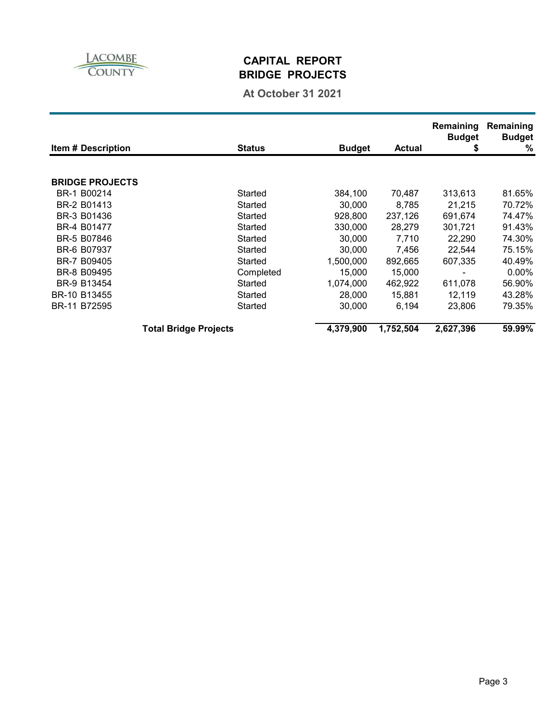

### **CAPITAL REPORT BRIDGE PROJECTS**

### **At October 31 2021**

| <b>Item # Description</b> |                              | <b>Status</b> | <b>Budget</b> | <b>Actual</b> | Remaining<br><b>Budget</b><br>\$ | Remaining<br><b>Budget</b><br>% |
|---------------------------|------------------------------|---------------|---------------|---------------|----------------------------------|---------------------------------|
|                           |                              |               |               |               |                                  |                                 |
| <b>BRIDGE PROJECTS</b>    |                              |               |               |               |                                  |                                 |
| BR-1 B00214               |                              | Started       | 384,100       | 70,487        | 313,613                          | 81.65%                          |
| BR-2 B01413               |                              | Started       | 30.000        | 8,785         | 21,215                           | 70.72%                          |
| BR-3 B01436               |                              | Started       | 928,800       | 237,126       | 691.674                          | 74.47%                          |
| BR-4 B01477               |                              | Started       | 330,000       | 28,279        | 301,721                          | 91.43%                          |
| BR-5 B07846               |                              | Started       | 30,000        | 7,710         | 22.290                           | 74.30%                          |
| BR-6 B07937               |                              | Started       | 30,000        | 7,456         | 22,544                           | 75.15%                          |
| BR-7 B09405               |                              | Started       | 1,500,000     | 892,665       | 607.335                          | 40.49%                          |
| BR-8 B09495               |                              | Completed     | 15,000        | 15,000        |                                  | $0.00\%$                        |
| BR-9 B13454               |                              | Started       | 1,074,000     | 462,922       | 611.078                          | 56.90%                          |
| BR-10 B13455              |                              | Started       | 28,000        | 15.881        | 12.119                           | 43.28%                          |
| BR-11 B72595              |                              | Started       | 30,000        | 6,194         | 23.806                           | 79.35%                          |
|                           | <b>Total Bridge Projects</b> |               | 4,379,900     | 1,752,504     | 2,627,396                        | 59.99%                          |